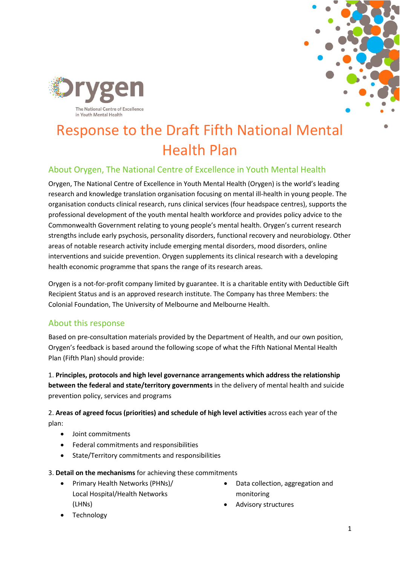



# Response to the Draft Fifth National Mental Health Plan

## About Orygen, The National Centre of Excellence in Youth Mental Health

Orygen, The National Centre of Excellence in Youth Mental Health (Orygen) is the world's leading research and knowledge translation organisation focusing on mental ill-health in young people. The organisation conducts clinical research, runs clinical services (four headspace centres), supports the professional development of the youth mental health workforce and provides policy advice to the Commonwealth Government relating to young people's mental health. Orygen's current research strengths include early psychosis, personality disorders, functional recovery and neurobiology. Other areas of notable research activity include emerging mental disorders, mood disorders, online interventions and suicide prevention. Orygen supplements its clinical research with a developing health economic programme that spans the range of its research areas.

Orygen is a not-for-profit company limited by guarantee. It is a charitable entity with Deductible Gift Recipient Status and is an approved research institute. The Company has three Members: the Colonial Foundation, The University of Melbourne and Melbourne Health.

## About this response

Based on pre-consultation materials provided by the Department of Health, and our own position, Orygen's feedback is based around the following scope of what the Fifth National Mental Health Plan (Fifth Plan) should provide:

1. **Principles, protocols and high level governance arrangements which address the relationship between the federal and state/territory governments** in the delivery of mental health and suicide prevention policy, services and programs

2. **Areas of agreed focus (priorities) and schedule of high level activities** across each year of the plan:

- Joint commitments
- Federal commitments and responsibilities
- State/Territory commitments and responsibilities

3. **Detail on the mechanisms** for achieving these commitments

- Primary Health Networks (PHNs)/ Local Hospital/Health Networks (LHNs)
- Data collection, aggregation and monitoring
- Advisory structures

**Technology**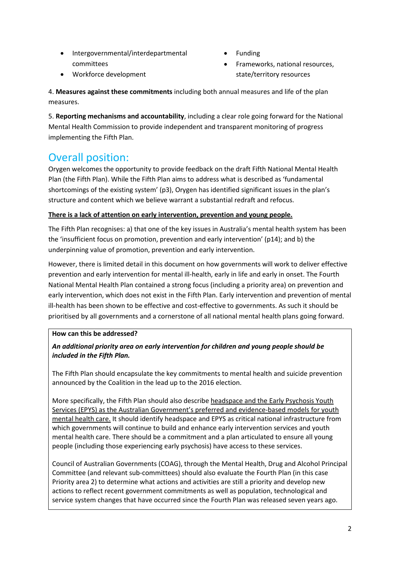- Intergovernmental/interdepartmental committees
- Funding
- Frameworks, national resources, state/territory resources

• Workforce development

4. **Measures against these commitments** including both annual measures and life of the plan measures.

5. **Reporting mechanisms and accountability**, including a clear role going forward for the National Mental Health Commission to provide independent and transparent monitoring of progress implementing the Fifth Plan.

## Overall position:

Orygen welcomes the opportunity to provide feedback on the draft Fifth National Mental Health Plan (the Fifth Plan). While the Fifth Plan aims to address what is described as 'fundamental shortcomings of the existing system' (p3), Orygen has identified significant issues in the plan's structure and content which we believe warrant a substantial redraft and refocus.

## **There is a lack of attention on early intervention, prevention and young people.**

The Fifth Plan recognises: a) that one of the key issues in Australia's mental health system has been the 'insufficient focus on promotion, prevention and early intervention' (p14); and b) the underpinning value of promotion, prevention and early intervention.

However, there is limited detail in this document on how governments will work to deliver effective prevention and early intervention for mental ill-health, early in life and early in onset. The Fourth National Mental Health Plan contained a strong focus (including a priority area) on prevention and early intervention, which does not exist in the Fifth Plan. Early intervention and prevention of mental ill-health has been shown to be effective and cost-effective to governments. As such it should be prioritised by all governments and a cornerstone of all national mental health plans going forward.

## **How can this be addressed?**

## *An additional priority area on early intervention for children and young people should be included in the Fifth Plan.*

The Fifth Plan should encapsulate the key commitments to mental health and suicide prevention announced by the Coalition in the lead up to the 2016 election.

More specifically, the Fifth Plan should also describe headspace and the Early Psychosis Youth Services (EPYS) as the Australian Government's preferred and evidence-based models for youth mental health care. It should identify headspace and EPYS as critical national infrastructure from which governments will continue to build and enhance early intervention services and youth mental health care. There should be a commitment and a plan articulated to ensure all young people (including those experiencing early psychosis) have access to these services.

Council of Australian Governments (COAG), through the Mental Health, Drug and Alcohol Principal Committee (and relevant sub-committees) should also evaluate the Fourth Plan (in this case Priority area 2) to determine what actions and activities are still a priority and develop new actions to reflect recent government commitments as well as population, technological and service system changes that have occurred since the Fourth Plan was released seven years ago.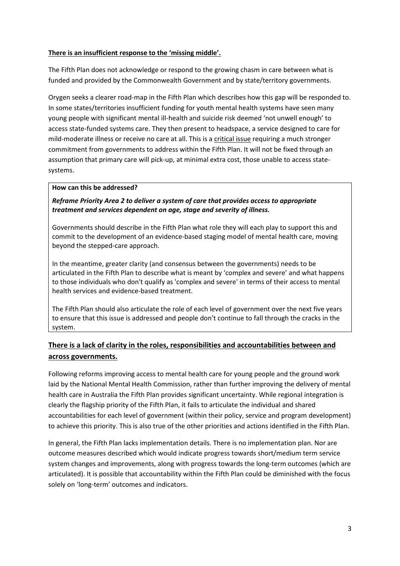#### **There is an insufficient response to the 'missing middle'.**

The Fifth Plan does not acknowledge or respond to the growing chasm in care between what is funded and provided by the Commonwealth Government and by state/territory governments.

Orygen seeks a clearer road-map in the Fifth Plan which describes how this gap will be responded to. In some states/territories insufficient funding for youth mental health systems have seen many young people with significant mental ill-health and suicide risk deemed 'not unwell enough' to access state-funded systems care. They then present to headspace, a service designed to care for mild-moderate illness or receive no care at all. This is a critical issue requiring a much stronger commitment from governments to address within the Fifth Plan. It will not be fixed through an assumption that primary care will pick-up, at minimal extra cost, those unable to access statesystems.

#### **How can this be addressed?**

#### *Reframe Priority Area 2 to deliver a system of care that provides access to appropriate treatment and services dependent on age, stage and severity of illness.*

Governments should describe in the Fifth Plan what role they will each play to support this and commit to the development of an evidence-based staging model of mental health care, moving beyond the stepped-care approach.

In the meantime, greater clarity (and consensus between the governments) needs to be articulated in the Fifth Plan to describe what is meant by 'complex and severe' and what happens to those individuals who don't qualify as 'complex and severe' in terms of their access to mental health services and evidence-based treatment.

The Fifth Plan should also articulate the role of each level of government over the next five years to ensure that this issue is addressed and people don't continue to fall through the cracks in the system.

## **There is a lack of clarity in the roles, responsibilities and accountabilities between and across governments.**

Following reforms improving access to mental health care for young people and the ground work laid by the National Mental Health Commission, rather than further improving the delivery of mental health care in Australia the Fifth Plan provides significant uncertainty. While regional integration is clearly the flagship priority of the Fifth Plan, it fails to articulate the individual and shared accountabilities for each level of government (within their policy, service and program development) to achieve this priority. This is also true of the other priorities and actions identified in the Fifth Plan.

In general, the Fifth Plan lacks implementation details. There is no implementation plan. Nor are outcome measures described which would indicate progress towards short/medium term service system changes and improvements, along with progress towards the long-term outcomes (which are articulated). It is possible that accountability within the Fifth Plan could be diminished with the focus solely on 'long-term' outcomes and indicators.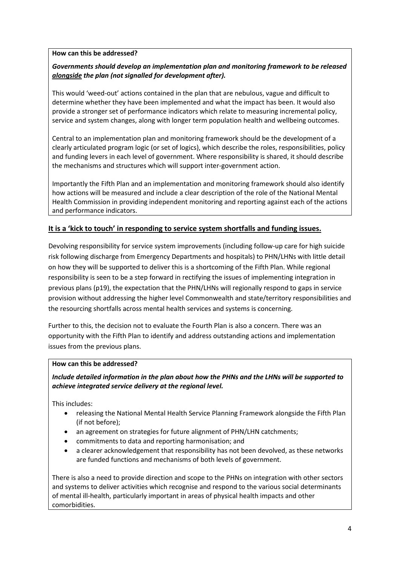#### **How can this be addressed?**

#### *Governments should develop an implementation plan and monitoring framework to be released alongside the plan (not signalled for development after).*

This would 'weed-out' actions contained in the plan that are nebulous, vague and difficult to determine whether they have been implemented and what the impact has been. It would also provide a stronger set of performance indicators which relate to measuring incremental policy, service and system changes, along with longer term population health and wellbeing outcomes.

Central to an implementation plan and monitoring framework should be the development of a clearly articulated program logic (or set of logics), which describe the roles, responsibilities, policy and funding levers in each level of government. Where responsibility is shared, it should describe the mechanisms and structures which will support inter-government action.

Importantly the Fifth Plan and an implementation and monitoring framework should also identify how actions will be measured and include a clear description of the role of the National Mental Health Commission in providing independent monitoring and reporting against each of the actions and performance indicators.

## **It is a 'kick to touch' in responding to service system shortfalls and funding issues.**

Devolving responsibility for service system improvements (including follow-up care for high suicide risk following discharge from Emergency Departments and hospitals) to PHN/LHNs with little detail on how they will be supported to deliver this is a shortcoming of the Fifth Plan. While regional responsibility is seen to be a step forward in rectifying the issues of implementing integration in previous plans (p19), the expectation that the PHN/LHNs will regionally respond to gaps in service provision without addressing the higher level Commonwealth and state/territory responsibilities and the resourcing shortfalls across mental health services and systems is concerning.

Further to this, the decision not to evaluate the Fourth Plan is also a concern. There was an opportunity with the Fifth Plan to identify and address outstanding actions and implementation issues from the previous plans.

#### **How can this be addressed?**

*Include detailed information in the plan about how the PHNs and the LHNs will be supported to achieve integrated service delivery at the regional level.*

This includes:

- releasing the National Mental Health Service Planning Framework alongside the Fifth Plan (if not before);
- an agreement on strategies for future alignment of PHN/LHN catchments;
- commitments to data and reporting harmonisation; and
- a clearer acknowledgement that responsibility has not been devolved, as these networks are funded functions and mechanisms of both levels of government.

There is also a need to provide direction and scope to the PHNs on integration with other sectors and systems to deliver activities which recognise and respond to the various social determinants of mental ill-health, particularly important in areas of physical health impacts and other comorbidities.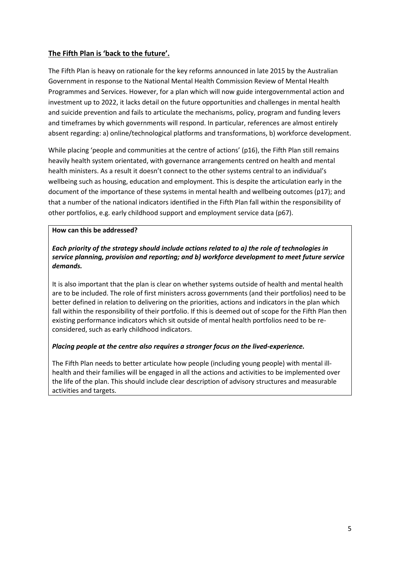## **The Fifth Plan is 'back to the future'.**

The Fifth Plan is heavy on rationale for the key reforms announced in late 2015 by the Australian Government in response to the National Mental Health Commission Review of Mental Health Programmes and Services. However, for a plan which will now guide intergovernmental action and investment up to 2022, it lacks detail on the future opportunities and challenges in mental health and suicide prevention and fails to articulate the mechanisms, policy, program and funding levers and timeframes by which governments will respond. In particular, references are almost entirely absent regarding: a) online/technological platforms and transformations, b) workforce development.

While placing 'people and communities at the centre of actions' (p16), the Fifth Plan still remains heavily health system orientated, with governance arrangements centred on health and mental health ministers. As a result it doesn't connect to the other systems central to an individual's wellbeing such as housing, education and employment. This is despite the articulation early in the document of the importance of these systems in mental health and wellbeing outcomes (p17); and that a number of the national indicators identified in the Fifth Plan fall within the responsibility of other portfolios, e.g. early childhood support and employment service data (p67).

#### **How can this be addressed?**

#### *Each priority of the strategy should include actions related to a) the role of technologies in service planning, provision and reporting; and b) workforce development to meet future service demands.*

It is also important that the plan is clear on whether systems outside of health and mental health are to be included. The role of first ministers across governments (and their portfolios) need to be better defined in relation to delivering on the priorities, actions and indicators in the plan which fall within the responsibility of their portfolio. If this is deemed out of scope for the Fifth Plan then existing performance indicators which sit outside of mental health portfolios need to be reconsidered, such as early childhood indicators.

#### *Placing people at the centre also requires a stronger focus on the lived-experience.*

The Fifth Plan needs to better articulate how people (including young people) with mental illhealth and their families will be engaged in all the actions and activities to be implemented over the life of the plan. This should include clear description of advisory structures and measurable activities and targets.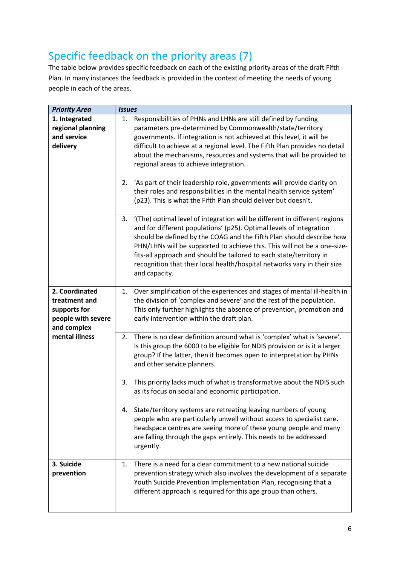## Specific feedback on the priority areas (7)

The table below provides specific feedback on each of the existing priority areas of the draft Fifth Plan. In many instances the feedback is provided in the context of meeting the needs of young people in each of the areas.

| <b>Priority Area</b> | <b>Issues</b>                                                                 |  |  |
|----------------------|-------------------------------------------------------------------------------|--|--|
| 1. Integrated        | Responsibilities of PHNs and LHNs are still defined by funding<br>1.          |  |  |
| regional planning    | parameters pre-determined by Commonwealth/state/territory                     |  |  |
| and service          | governments. If integration is not achieved at this level, it will be         |  |  |
| delivery             | difficult to achieve at a regional level. The Fifth Plan provides no detail   |  |  |
|                      | about the mechanisms, resources and systems that will be provided to          |  |  |
|                      | regional areas to achieve integration.                                        |  |  |
|                      |                                                                               |  |  |
|                      | 2. 'As part of their leadership role, governments will provide clarity on     |  |  |
|                      | their roles and responsibilities in the mental health service system'         |  |  |
|                      | (p23). This is what the Fifth Plan should deliver but doesn't.                |  |  |
|                      |                                                                               |  |  |
|                      | 3. '(The) optimal level of integration will be different in different regions |  |  |
|                      | and for different populations' (p25). Optimal levels of integration           |  |  |
|                      | should be defined by the COAG and the Fifth Plan should describe how          |  |  |
|                      | PHN/LHNs will be supported to achieve this. This will not be a one-size-      |  |  |
|                      | fits-all approach and should be tailored to each state/territory in           |  |  |
|                      | recognition that their local health/hospital networks vary in their size      |  |  |
|                      | and capacity.                                                                 |  |  |
|                      |                                                                               |  |  |
| 2. Coordinated       | 1. Over simplification of the experiences and stages of mental ill-health in  |  |  |
| treatment and        | the division of 'complex and severe' and the rest of the population.          |  |  |
| supports for         | This only further highlights the absence of prevention, promotion and         |  |  |
| people with severe   | early intervention within the draft plan.                                     |  |  |
| and complex          |                                                                               |  |  |
| mental illness       | There is no clear definition around what is 'complex' what is 'severe'.<br>2. |  |  |
|                      | Is this group the 6000 to be eligible for NDIS provision or is it a larger    |  |  |
|                      | group? If the latter, then it becomes open to interpretation by PHNs          |  |  |
|                      | and other service planners.                                                   |  |  |
|                      |                                                                               |  |  |
|                      | This priority lacks much of what is transformative about the NDIS such<br>3.  |  |  |
|                      | as its focus on social and economic participation.                            |  |  |
|                      |                                                                               |  |  |
|                      | State/territory systems are retreating leaving numbers of young<br>4.         |  |  |
|                      | people who are particularly unwell without access to specialist care.         |  |  |
|                      | headspace centres are seeing more of these young people and many              |  |  |
|                      | are falling through the gaps entirely. This needs to be addressed             |  |  |
|                      | urgently.                                                                     |  |  |
|                      |                                                                               |  |  |
| 3. Suicide           | There is a need for a clear commitment to a new national suicide<br>1.        |  |  |
| prevention           | prevention strategy which also involves the development of a separate         |  |  |
|                      | Youth Suicide Prevention Implementation Plan, recognising that a              |  |  |
|                      | different approach is required for this age group than others.                |  |  |
|                      |                                                                               |  |  |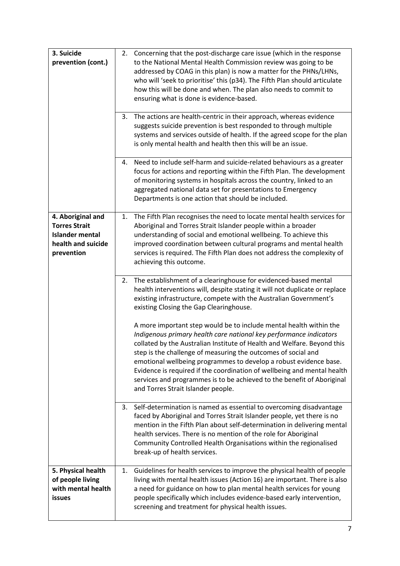| 3. Suicide                                |    | 2. Concerning that the post-discharge care issue (which in the response                                                                                 |
|-------------------------------------------|----|---------------------------------------------------------------------------------------------------------------------------------------------------------|
| prevention (cont.)                        |    | to the National Mental Health Commission review was going to be<br>addressed by COAG in this plan) is now a matter for the PHNs/LHNs,                   |
|                                           |    | who will 'seek to prioritise' this (p34). The Fifth Plan should articulate                                                                              |
|                                           |    | how this will be done and when. The plan also needs to commit to<br>ensuring what is done is evidence-based.                                            |
|                                           |    |                                                                                                                                                         |
|                                           | 3. | The actions are health-centric in their approach, whereas evidence<br>suggests suicide prevention is best responded to through multiple                 |
|                                           |    | systems and services outside of health. If the agreed scope for the plan                                                                                |
|                                           |    | is only mental health and health then this will be an issue.                                                                                            |
|                                           |    | 4. Need to include self-harm and suicide-related behaviours as a greater<br>focus for actions and reporting within the Fifth Plan. The development      |
|                                           |    | of monitoring systems in hospitals across the country, linked to an                                                                                     |
|                                           |    | aggregated national data set for presentations to Emergency<br>Departments is one action that should be included.                                       |
|                                           |    |                                                                                                                                                         |
| 4. Aboriginal and<br><b>Torres Strait</b> | 1. | The Fifth Plan recognises the need to locate mental health services for<br>Aboriginal and Torres Strait Islander people within a broader                |
| <b>Islander mental</b>                    |    | understanding of social and emotional wellbeing. To achieve this                                                                                        |
| health and suicide<br>prevention          |    | improved coordination between cultural programs and mental health<br>services is required. The Fifth Plan does not address the complexity of            |
|                                           |    | achieving this outcome.                                                                                                                                 |
|                                           |    | 2. The establishment of a clearinghouse for evidenced-based mental                                                                                      |
|                                           |    | health interventions will, despite stating it will not duplicate or replace                                                                             |
|                                           |    | existing infrastructure, compete with the Australian Government's<br>existing Closing the Gap Clearinghouse.                                            |
|                                           |    | A more important step would be to include mental health within the                                                                                      |
|                                           |    | Indigenous primary health care national key performance indicators                                                                                      |
|                                           |    | collated by the Australian Institute of Health and Welfare. Beyond this<br>step is the challenge of measuring the outcomes of social and                |
|                                           |    | emotional wellbeing programmes to develop a robust evidence base.                                                                                       |
|                                           |    | Evidence is required if the coordination of wellbeing and mental health<br>services and programmes is to be achieved to the benefit of Aboriginal       |
|                                           |    | and Torres Strait Islander people.                                                                                                                      |
|                                           | 3. | Self-determination is named as essential to overcoming disadvantage                                                                                     |
|                                           |    | faced by Aboriginal and Torres Strait Islander people, yet there is no                                                                                  |
|                                           |    | mention in the Fifth Plan about self-determination in delivering mental<br>health services. There is no mention of the role for Aboriginal              |
|                                           |    | Community Controlled Health Organisations within the regionalised                                                                                       |
|                                           |    | break-up of health services.                                                                                                                            |
| 5. Physical health<br>of people living    |    | 1. Guidelines for health services to improve the physical health of people<br>living with mental health issues (Action 16) are important. There is also |
| with mental health                        |    | a need for guidance on how to plan mental health services for young                                                                                     |
| <b>issues</b>                             |    | people specifically which includes evidence-based early intervention,<br>screening and treatment for physical health issues.                            |
|                                           |    |                                                                                                                                                         |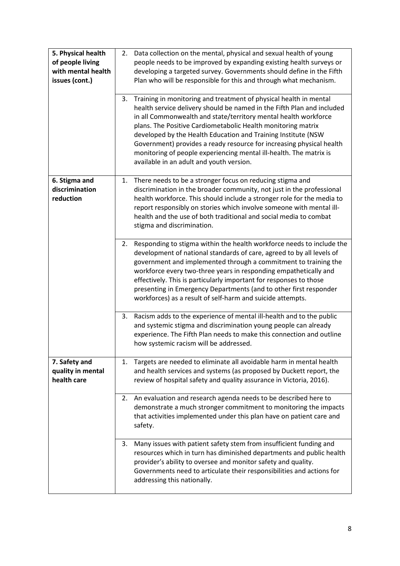| 5. Physical health<br>of people living<br>with mental health<br>issues (cont.) | 2. | Data collection on the mental, physical and sexual health of young<br>people needs to be improved by expanding existing health surveys or<br>developing a targeted survey. Governments should define in the Fifth<br>Plan who will be responsible for this and through what mechanism.                                                                                                                                                                                                                                                    |
|--------------------------------------------------------------------------------|----|-------------------------------------------------------------------------------------------------------------------------------------------------------------------------------------------------------------------------------------------------------------------------------------------------------------------------------------------------------------------------------------------------------------------------------------------------------------------------------------------------------------------------------------------|
|                                                                                | 3. | Training in monitoring and treatment of physical health in mental<br>health service delivery should be named in the Fifth Plan and included<br>in all Commonwealth and state/territory mental health workforce<br>plans. The Positive Cardiometabolic Health monitoring matrix<br>developed by the Health Education and Training Institute (NSW<br>Government) provides a ready resource for increasing physical health<br>monitoring of people experiencing mental ill-health. The matrix is<br>available in an adult and youth version. |
| 6. Stigma and<br>discrimination<br>reduction                                   | 1. | There needs to be a stronger focus on reducing stigma and<br>discrimination in the broader community, not just in the professional<br>health workforce. This should include a stronger role for the media to<br>report responsibly on stories which involve someone with mental ill-<br>health and the use of both traditional and social media to combat<br>stigma and discrimination.                                                                                                                                                   |
|                                                                                | 2. | Responding to stigma within the health workforce needs to include the<br>development of national standards of care, agreed to by all levels of<br>government and implemented through a commitment to training the<br>workforce every two-three years in responding empathetically and<br>effectively. This is particularly important for responses to those<br>presenting in Emergency Departments (and to other first responder<br>workforces) as a result of self-harm and suicide attempts.                                            |
|                                                                                | 3. | Racism adds to the experience of mental ill-health and to the public<br>and systemic stigma and discrimination young people can already<br>experience. The Fifth Plan needs to make this connection and outline<br>how systemic racism will be addressed.                                                                                                                                                                                                                                                                                 |
| 7. Safety and<br>quality in mental<br>health care                              | 1. | Targets are needed to eliminate all avoidable harm in mental health<br>and health services and systems (as proposed by Duckett report, the<br>review of hospital safety and quality assurance in Victoria, 2016).                                                                                                                                                                                                                                                                                                                         |
|                                                                                |    | 2. An evaluation and research agenda needs to be described here to<br>demonstrate a much stronger commitment to monitoring the impacts<br>that activities implemented under this plan have on patient care and<br>safety.                                                                                                                                                                                                                                                                                                                 |
|                                                                                | 3. | Many issues with patient safety stem from insufficient funding and<br>resources which in turn has diminished departments and public health<br>provider's ability to oversee and monitor safety and quality.<br>Governments need to articulate their responsibilities and actions for<br>addressing this nationally.                                                                                                                                                                                                                       |